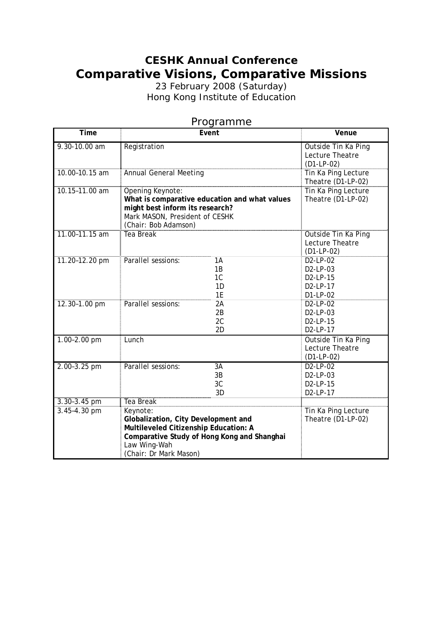## **CESHK Annual Conference Comparative Visions, Comparative Missions**

23 February 2008 (Saturday) Hong Kong Institute of Education

| Time             |                                                                                                                                                                                   | ı ı oğramın <del>c</del><br>Event      | Venue                                                    |
|------------------|-----------------------------------------------------------------------------------------------------------------------------------------------------------------------------------|----------------------------------------|----------------------------------------------------------|
| 9.30-10.00 am    | Registration                                                                                                                                                                      |                                        | Outside Tin Ka Ping<br>Lecture Theatre<br>$(D1-LP-02)$   |
| 10.00-10.15 am   | <b>Annual General Meeting</b>                                                                                                                                                     |                                        | Tin Ka Ping Lecture<br>Theatre (D1-LP-02)                |
| 10.15-11.00 am   | Opening Keynote:<br>What is comparative education and what values<br>might best inform its research?<br>Mark MASON, President of CESHK<br>(Chair: Bob Adamson)                    |                                        | Tin Ka Ping Lecture<br>Theatre (D1-LP-02)                |
| 11.00-11.15 am   | <b>Tea Break</b>                                                                                                                                                                  |                                        | Outside Tin Ka Ping<br>Lecture Theatre<br>$(D1-LP-02)$   |
| 11.20-12.20 pm   | Parallel sessions:                                                                                                                                                                | 1A<br>1B<br>1 <sup>C</sup><br>1D<br>1E | D2-LP-02<br>D2-LP-03<br>D2-LP-15<br>D2-LP-17<br>D1-LP-02 |
| 12.30-1.00 pm    | Parallel sessions:                                                                                                                                                                | 2A<br>2B<br>2C<br>2D                   | D2-LP-02<br>D2-LP-03<br>D2-LP-15<br>D2-LP-17             |
| 1.00-2.00 pm     | Lunch                                                                                                                                                                             |                                        | Outside Tin Ka Ping<br>Lecture Theatre<br>$(D1-LP-02)$   |
| $2.00 - 3.25$ pm | Parallel sessions:                                                                                                                                                                | 3A<br>3B<br>3C<br>3D                   | $D2-LP-02$<br>D2-LP-03<br>D2-LP-15<br>D2-LP-17           |
| 3.30-3.45 pm     | Tea Break                                                                                                                                                                         |                                        |                                                          |
| 3.45-4.30 pm     | Keynote:<br>Globalization, City Development and<br>Multileveled Citizenship Education: A<br>Comparative Study of Hong Kong and Shanghai<br>Law Wing-Wah<br>(Chair: Dr Mark Mason) |                                        | Tin Ka Ping Lecture<br>Theatre (D1-LP-02)                |

## Programme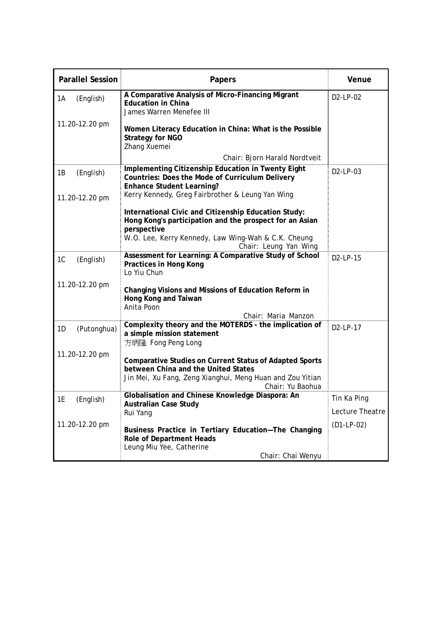| <b>Parallel Session</b> | Papers                                                                                                                                                                                 | Venue                 |
|-------------------------|----------------------------------------------------------------------------------------------------------------------------------------------------------------------------------------|-----------------------|
| (English)<br>1A         | A Comparative Analysis of Micro-Financing Migrant<br><b>Education in China</b><br>James Warren Menefee III                                                                             | D2-LP-02              |
| 11.20-12.20 pm          | Women Literacy Education in China: What is the Possible<br><b>Strategy for NGO</b><br>Zhang Xuemei                                                                                     |                       |
|                         | Chair: Bjorn Harald Nordtveit                                                                                                                                                          |                       |
| (English)<br>1B         | Implementing Citizenship Education in Twenty Eight<br>Countries: Does the Mode of Curriculum Delivery<br><b>Enhance Student Learning?</b>                                              | D <sub>2</sub> -LP-03 |
| 11.20-12.20 pm          | Kerry Kennedy, Greg Fairbrother & Leung Yan Wing                                                                                                                                       |                       |
|                         | International Civic and Citizenship Education Study:<br>Hong Kong's participation and the prospect for an Asian<br>perspective                                                         |                       |
|                         | W.O. Lee, Kerry Kennedy, Law Wing-Wah & C.K. Cheung<br>Chair: Leung Yan Wing                                                                                                           |                       |
| 1C<br>(English)         | Assessment for Learning: A Comparative Study of School<br>Practices in Hong Kong<br>Lo Yiu Chun                                                                                        | D <sub>2</sub> -LP-15 |
| 11.20-12.20 pm          | Changing Visions and Missions of Education Reform in<br>Hong Kong and Taiwan<br>Anita Poon<br>Chair: Maria Manzon                                                                      |                       |
| (Putonghua)<br>1D       | Complexity theory and the MOTERDS - the implication of                                                                                                                                 | D2-LP-17              |
|                         | a simple mission statement<br>方炳隆 Fong Peng Long                                                                                                                                       |                       |
| 11.20-12.20 pm          | <b>Comparative Studies on Current Status of Adapted Sports</b><br>between China and the United States<br>Jin Mei, Xu Fang, Zeng Xianghui, Meng Huan and Zou Yitian<br>Chair: Yu Baohua |                       |
| 1E<br>(English)         | Globalisation and Chinese Knowledge Diaspora: An                                                                                                                                       | Tin Ka Ping           |
|                         | <b>Australian Case Study</b><br>Rui Yang                                                                                                                                               | Lecture Theatre       |
| 11.20-12.20 pm          | Business Practice in Tertiary Education-The Changing<br>Role of Department Heads<br>Leung Miu Yee, Catherine                                                                           | $(D1-LP-02)$          |
|                         | Chair: Chai Wenyu                                                                                                                                                                      |                       |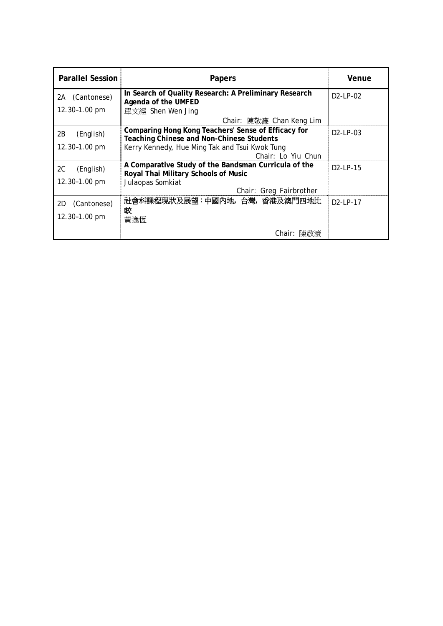| <b>Parallel Session</b> | Papers                                                                                           | Venue                 |
|-------------------------|--------------------------------------------------------------------------------------------------|-----------------------|
| (Cantonese)<br>2A       | In Search of Quality Research: A Preliminary Research<br>Agenda of the UMFED                     | $D2$ -LP-02           |
| 12.30-1.00 pm           | 單文經 Shen Wen Jing                                                                                |                       |
|                         | Chair: 陳敬濂 Chan Keng Lim                                                                         |                       |
| 2B<br>(English)         | Comparing Hong Kong Teachers' Sense of Efficacy for<br>Teaching Chinese and Non-Chinese Students | $D2$ -LP-03           |
| 12.30-1.00 pm           | Kerry Kennedy, Hue Ming Tak and Tsui Kwok Tung                                                   |                       |
|                         | Chair: Lo Yiu Chun                                                                               |                       |
| 2C<br>(English)         | A Comparative Study of the Bandsman Curricula of the<br>Royal Thai Military Schools of Music     | D <sub>2</sub> -LP-15 |
| 12.30-1.00 pm           | Julaopas Somkiat                                                                                 |                       |
|                         | Chair: Greg Fairbrother                                                                          |                       |
| (Cantonese)<br>2D       | 社會科課程現狀及展望:中國內地,台灣,香港及澳門四地比<br>較                                                                 | D2-LP-17              |
| 12.30-1.00 pm           | 黃逸恆                                                                                              |                       |
|                         | Chair: 陳敬濂                                                                                       |                       |